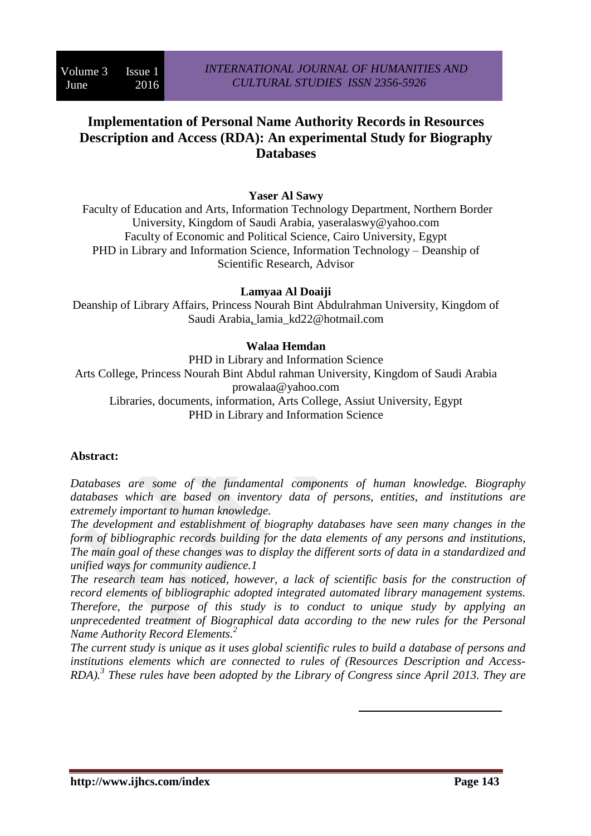# **Implementation of Personal Name Authority Records in Resources Description and Access (RDA): An experimental Study for Biography Databases**

## **Yaser Al Sawy**

Faculty of Education and Arts, Information Technology Department, Northern Border University, Kingdom of Saudi Arabia, yaseralaswy@yahoo.com Faculty of Economic and Political Science, Cairo University, Egypt PHD in Library and Information Science, Information Technology – Deanship of Scientific Research, Advisor

### **Lamyaa Al Doaiji**

Deanship of Library Affairs, Princess Nourah Bint Abdulrahman University, Kingdom of Saudi Arabia, lamia\_kd22@hotmail.com

### **Walaa Hemdan**

PHD in Library and Information Science Arts College, Princess Nourah Bint Abdul rahman University, Kingdom of Saudi Arabia prowalaa@yahoo.com Libraries, documents, information, Arts College, Assiut University, Egypt PHD in Library and Information Science

### **Abstract:**

*Databases are some of the fundamental components of human knowledge. Biography databases which are based on inventory data of persons, entities, and institutions are extremely important to human knowledge.*

*The development and establishment of biography databases have seen many changes in the form of bibliographic records building for the data elements of any persons and institutions, The main goal of these changes was to display the different sorts of data in a standardized and unified ways for community audience.1*

*The research team has noticed, however, a lack of scientific basis for the construction of record elements of bibliographic adopted integrated automated library management systems. Therefore, the purpose of this study is to conduct to unique study by applying an unprecedented treatment of Biographical data according to the new rules for the Personal Name Authority Record Elements.<sup>2</sup>*

*The current study is unique as it uses global scientific rules to build a database of persons and institutions elements which are connected to rules of (Resources Description and Access-RDA).<sup>3</sup> These rules have been adopted by the Library of Congress since April 2013. They are*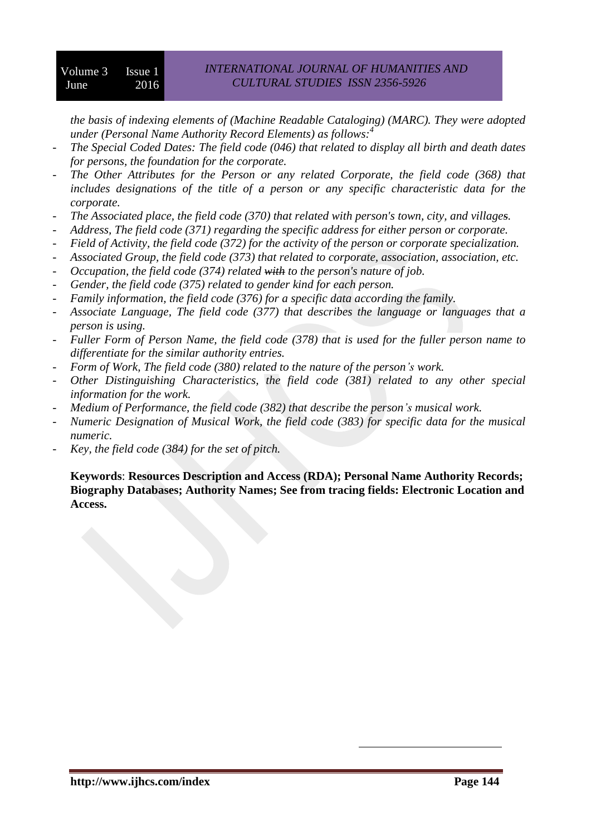*the basis of indexing elements of (Machine Readable Cataloging) (MARC). They were adopted under (Personal Name Authority Record Elements) as follows:<sup>4</sup>*

- *The Special Coded Dates: The field code (046) that related to display all birth and death dates for persons, the foundation for the corporate.*
- *The Other Attributes for the Person or any related Corporate, the field code (368) that includes designations of the title of a person or any specific characteristic data for the corporate.*
- *The Associated place, the field code (370) that related with person's town, city, and villages.*
- *Address, The field code (371) regarding the specific address for either person or corporate.*
- *Field of Activity, the field code (372) for the activity of the person or corporate specialization.*
- *Associated Group, the field code (373) that related to corporate, association, association, etc.*
- *Occupation, the field code (374) related with to the person's nature of job.*
- *Gender, the field code (375) related to gender kind for each person.*
- *Family information, the field code (376) for a specific data according the family.*
- *Associate Language, The field code (377) that describes the language or languages that a person is using.*
- *Fuller Form of Person Name, the field code (378) that is used for the fuller person name to differentiate for the similar authority entries.*
- *Form of Work, The field code (380) related to the nature of the person's work.*
- *Other Distinguishing Characteristics, the field code (381) related to any other special information for the work.*
- *Medium of Performance, the field code (382) that describe the person's musical work.*
- *Numeric Designation of Musical Work, the field code (383) for specific data for the musical numeric.*
- *Key, the field code (384) for the set of pitch.*

**Keywords**: **Resources Description and Access (RDA); Personal Name Authority Records; Biography Databases; Authority Names; See from tracing fields: Electronic Location and Access.**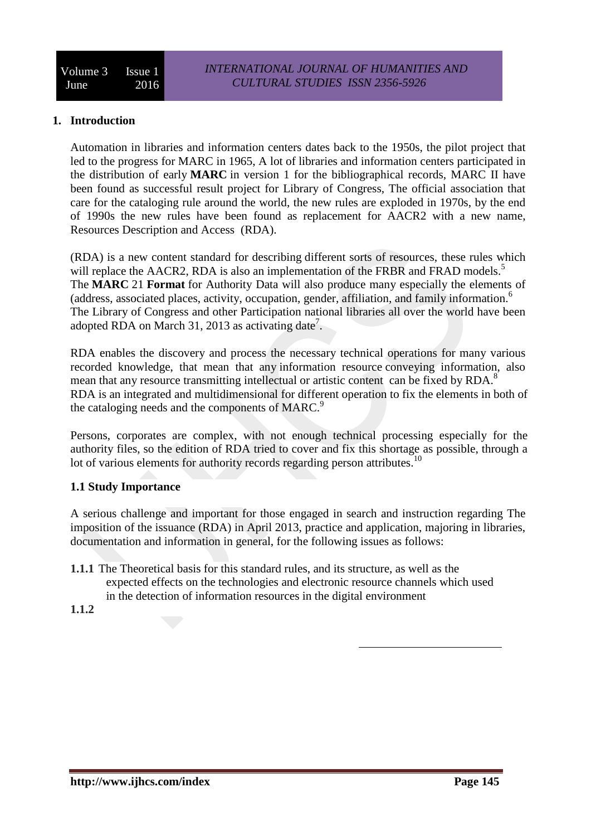### **1. Introduction**

Automation in libraries and information centers dates back to the 1950s, the pilot project that led to the progress for MARC in 1965, A lot of libraries and information centers participated in the distribution of early **MARC** in version 1 for the bibliographical records, MARC II have been found as successful result project for Library of Congress, The official association that care for the cataloging rule around the world, the new rules are exploded in 1970s, by the end of 1990s the new rules have been found as replacement for AACR2 with a new name, Resources Description and Access (RDA).

(RDA) is a new content standard for describing different sorts of resources, these rules which will replace the AACR2, RDA is also an implementation of the FRBR and FRAD models.<sup>5</sup> The **MARC** 21 **Format** for Authority Data will also produce many especially the elements of (address, associated places, activity, occupation, gender, affiliation, and family information. 6 The Library of Congress and other Participation national libraries all over the world have been adopted RDA on March 31, 2013 as activating date<sup>7</sup>.

RDA enables the discovery and process the necessary technical operations for many various recorded knowledge, that mean that any information resource conveying information, also mean that any resource transmitting intellectual or artistic content can be fixed by RDA.<sup>8</sup> RDA is an integrated and multidimensional for different operation to fix the elements in both of the cataloging needs and the components of MARC.<sup>9</sup>

Persons, corporates are complex, with not enough technical processing especially for the authority files, so the edition of RDA tried to cover and fix this shortage as possible, through a lot of various elements for authority records regarding person attributes.<sup>10</sup>

### **1.1 Study Importance**

A serious challenge and important for those engaged in search and instruction regarding The imposition of the issuance (RDA) in April 2013, practice and application, majoring in libraries, documentation and information in general, for the following issues as follows:

- **1.1.1** The Theoretical basis for this standard rules, and its structure, as well as the expected effects on the technologies and electronic resource channels which used in the detection of information resources in the digital environment
- **1.1.2**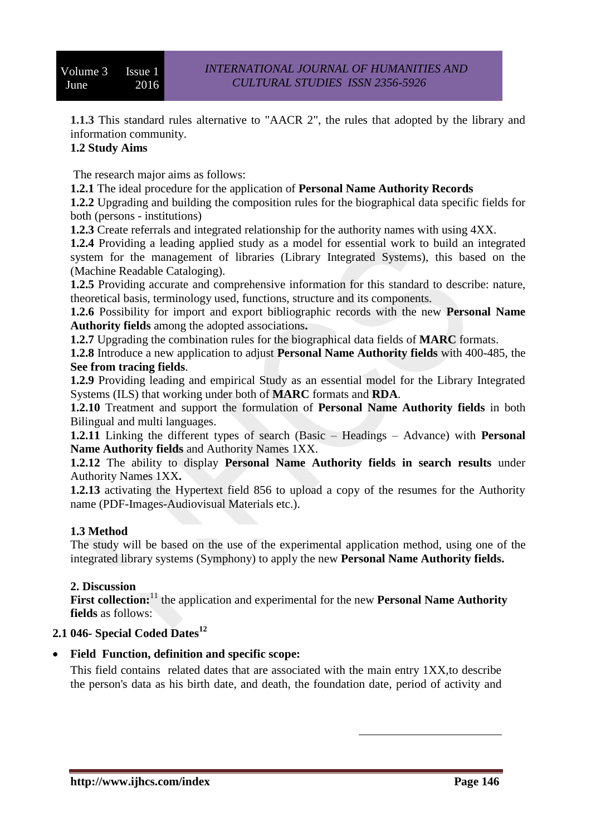**1.1.3** This standard rules alternative to "AACR 2", the rules that adopted by the library and information community.

# **1.2 Study Aims**

The research major aims as follows:

**1.2.1** The ideal procedure for the application of **Personal Name Authority Records**

**1.2.2** Upgrading and building the composition rules for the biographical data specific fields for both (persons - institutions)

**1.2.3** Create referrals and integrated relationship for the authority names with using 4XX.

**1.2.4** Providing a leading applied study as a model for essential work to build an integrated system for the management of libraries (Library Integrated Systems), this based on the (Machine Readable Cataloging).

**1.2.5** Providing accurate and comprehensive information for this standard to describe: nature, theoretical basis, terminology used, functions, structure and its components.

**1.2.6** Possibility for import and export bibliographic records with the new **Personal Name Authority fields** among the adopted associations**.**

**1.2.7** Upgrading the combination rules for the biographical data fields of **MARC** formats.

**1.2.8** Introduce a new application to adjust **Personal Name Authority fields** with 400-485, the **See from tracing fields**.

**1.2.9** Providing leading and empirical Study as an essential model for the Library Integrated Systems (ILS) that working under both of **MARC** formats and **RDA**.

**1.2.10** Treatment and support the formulation of **Personal Name Authority fields** in both Bilingual and multi languages.

**1.2.11** Linking the different types of search (Basic – Headings – Advance) with **Personal Name Authority fields** and Authority Names 1XX.

**1.2.12** The ability to display **Personal Name Authority fields in search results** under Authority Names 1XX**.**

**1.2.13** activating the Hypertext field 856 to upload a copy of the resumes for the Authority name (PDF-Images-Audiovisual Materials etc.).

### **1.3 Method**

The study will be based on the use of the experimental application method, using one of the integrated library systems (Symphony) to apply the new **Personal Name Authority fields.**

#### **2. Discussion**

First collection:<sup>11</sup> the application and experimental for the new **Personal Name Authority fields** as follows:

## **2.1 046- Special Coded Dates<sup>12</sup>**

### **Field Function, definition and specific scope:**

This field contains related dates that are associated with the main entry 1XX,to describe the person's data as his birth date, and death, the foundation date, period of activity and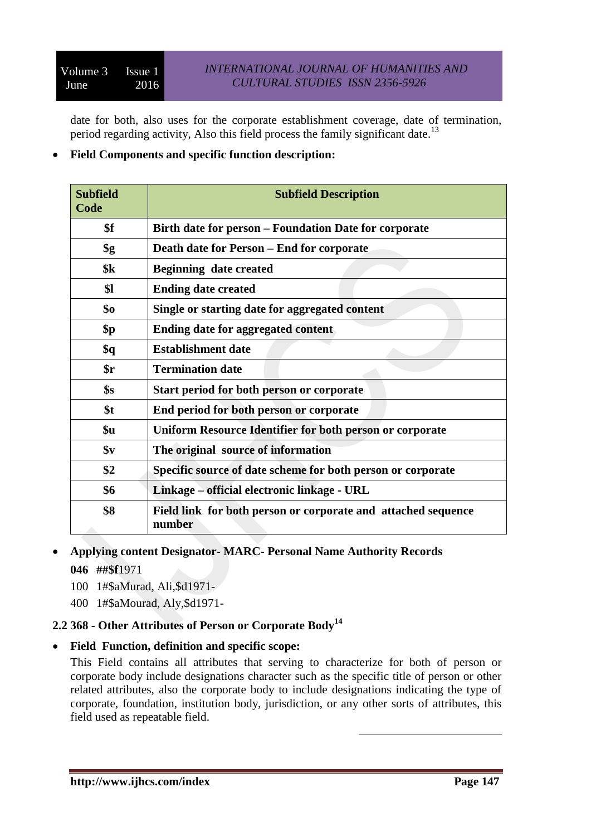date for both, also uses for the corporate establishment coverage, date of termination, period regarding activity, Also this field process the family significant date.<sup>13</sup>

### **Field Components and specific function description:**

| <b>Subfield</b><br>Code | <b>Subfield Description</b>                                             |
|-------------------------|-------------------------------------------------------------------------|
| \$f                     | Birth date for person – Foundation Date for corporate                   |
| \$g                     | Death date for Person – End for corporate                               |
| \$k\$                   | <b>Beginning date created</b>                                           |
| \$1                     | <b>Ending date created</b>                                              |
| \$0                     | Single or starting date for aggregated content                          |
| \$p                     | <b>Ending date for aggregated content</b>                               |
| \$q                     | <b>Establishment date</b>                                               |
| \$r                     | <b>Termination date</b>                                                 |
| \$s                     | Start period for both person or corporate                               |
| \$t                     | End period for both person or corporate                                 |
| \$u                     | Uniform Resource Identifier for both person or corporate                |
| $\mathbf{\$}\mathbf{v}$ | The original source of information                                      |
| \$2                     | Specific source of date scheme for both person or corporate             |
| \$6                     | Linkage – official electronic linkage - URL                             |
| \$8                     | Field link for both person or corporate and attached sequence<br>number |

### **Applying content Designator- MARC- Personal Name Authority Records**

- **046 ##\$f**1971
- 100 1#\$aMurad, Ali,\$d1971-
- 400 1#\$aMourad, Aly,\$d1971-

## **2.2 368 - Other Attributes of Person or Corporate Body<sup>14</sup>**

### **Field Function, definition and specific scope:**

This Field contains all attributes that serving to characterize for both of person or corporate body include designations character such as the specific title of person or other related attributes, also the corporate body to include designations indicating the type of corporate, foundation, institution body, jurisdiction, or any other sorts of attributes, this field used as repeatable field.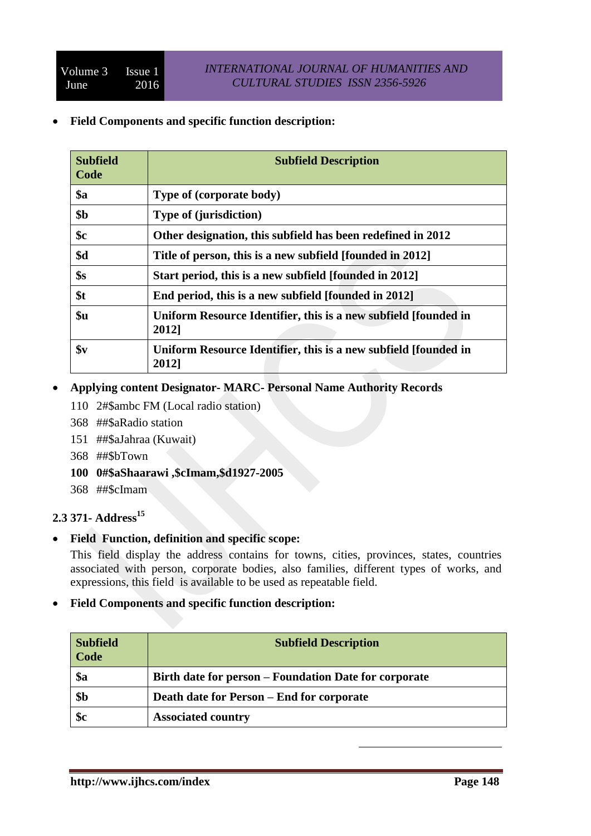**Field Components and specific function description:**

| <b>Subfield</b><br>Code | <b>Subfield Description</b>                                              |
|-------------------------|--------------------------------------------------------------------------|
| $\$a$                   | Type of (corporate body)                                                 |
| \$ <sub>b</sub>         | <b>Type of (jurisdiction)</b>                                            |
| \$c                     | Other designation, this subfield has been redefined in 2012              |
| \$d                     | Title of person, this is a new subfield [founded in 2012]                |
| \$s                     | Start period, this is a new subfield [founded in 2012]                   |
| \$t                     | End period, this is a new subfield [founded in 2012]                     |
| \$u                     | Uniform Resource Identifier, this is a new subfield [founded in<br>2012] |
| \$v                     | Uniform Resource Identifier, this is a new subfield [founded in<br>2012] |

## **Applying content Designator- MARC- Personal Name Authority Records**

- 110 2#\$ambc FM (Local radio station)
- 368 ##\$aRadio station
- 151 ##\$aJahraa (Kuwait)
- 368 ##\$bTown
- **100 0#\$aShaarawi ,\$cImam,\$d1927-2005**
- 368 ##\$cImam

## **2.3 371- Address<sup>15</sup>**

**Field Function, definition and specific scope:**

This field display the address contains for towns, cities, provinces, states, countries associated with person, corporate bodies, also families, different types of works, and expressions, this field is available to be used as repeatable field.

### **Field Components and specific function description:**

| <b>Subfield</b><br>Code | <b>Subfield Description</b>                           |
|-------------------------|-------------------------------------------------------|
| \$a                     | Birth date for person – Foundation Date for corporate |
| \$ <sub>b</sub>         | Death date for Person – End for corporate             |
| \$c                     | <b>Associated country</b>                             |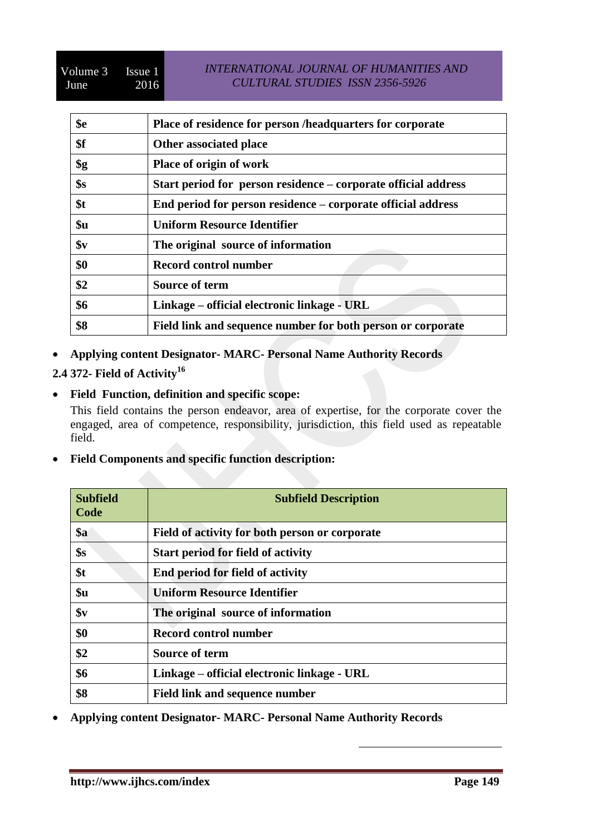### *INTERNATIONAL JOURNAL OF HUMANITIES AND CULTURAL STUDIES ISSN 2356-5926*

| \$e            | Place of residence for person /headquarters for corporate      |
|----------------|----------------------------------------------------------------|
| \$f            | Other associated place                                         |
| \$g            | Place of origin of work                                        |
| \$s            | Start period for person residence – corporate official address |
| \$t            | End period for person residence – corporate official address   |
| \$u            | <b>Uniform Resource Identifier</b>                             |
| $\mathbf{\$v}$ | The original source of information                             |
| \$0            | <b>Record control number</b>                                   |
| \$2            | <b>Source of term</b>                                          |
| \$6            | Linkage – official electronic linkage - URL                    |
| \$8            | Field link and sequence number for both person or corporate    |

- **Applying content Designator- MARC- Personal Name Authority Records**
- **2.4 372- Field of Activity<sup>16</sup>**
- **Field Function, definition and specific scope:**

This field contains the person endeavor, area of expertise, for the corporate cover the engaged, area of competence, responsibility, jurisdiction, this field used as repeatable field.

**Field Components and specific function description:**

| <b>Subfield</b><br>Code | <b>Subfield Description</b>                    |
|-------------------------|------------------------------------------------|
| $\$a$                   | Field of activity for both person or corporate |
| \$s                     | <b>Start period for field of activity</b>      |
| \$t                     | End period for field of activity               |
| \$u                     | <b>Uniform Resource Identifier</b>             |
| $\mathbf{\$}\mathbf{v}$ | The original source of information             |
| \$0                     | <b>Record control number</b>                   |
| \$2                     | <b>Source of term</b>                          |
| \$6                     | Linkage – official electronic linkage - URL    |
| \$8                     | Field link and sequence number                 |

1

**Applying content Designator- MARC- Personal Name Authority Records**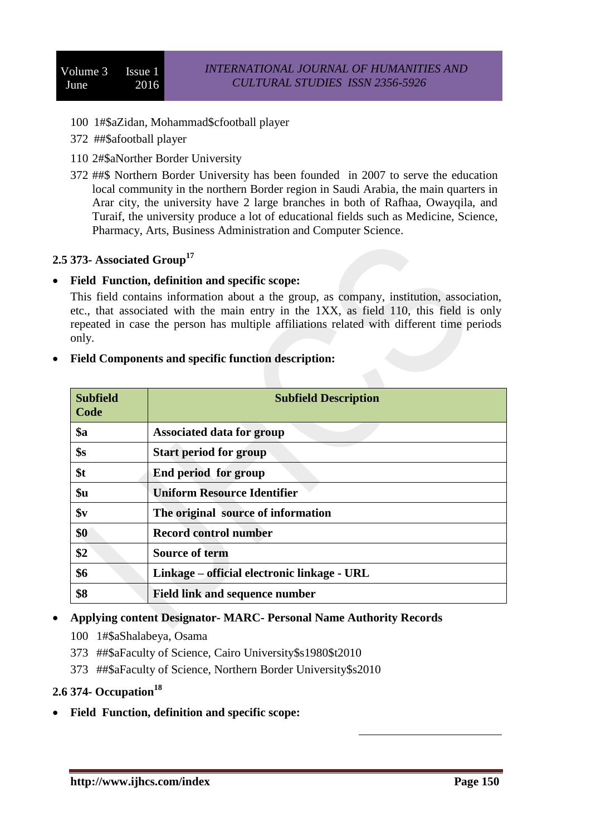- 100 1#\$aZidan, Mohammad\$cfootball player
- 372 ##\$afootball player
- 110 2#\$aNorther Border University
- 372 ##\$ Northern Border University has been founded in 2007 to serve the education local community in the northern Border region in Saudi Arabia, the main quarters in Arar city, the university have 2 large branches in both of Rafhaa, Owayqila, and Turaif, the university produce a lot of educational fields such as Medicine, Science, Pharmacy, Arts, Business Administration and Computer Science.

## **2.5 373- Associated Group<sup>17</sup>**

#### **Field Function, definition and specific scope:**

This field contains information about a the group, as company, institution, association, etc., that associated with the main entry in the 1XX, as field 110, this field is only repeated in case the person has multiple affiliations related with different time periods only.

| <b>Subfield</b><br>Code | <b>Subfield Description</b>                 |
|-------------------------|---------------------------------------------|
| $\$a$                   | Associated data for group                   |
| \$s                     | <b>Start period for group</b>               |
| \$t                     | End period for group                        |
| \$u                     | <b>Uniform Resource Identifier</b>          |
| $\mathbf{S}\mathbf{v}$  | The original source of information          |
| \$0                     | Record control number                       |
| \$2                     | <b>Source of term</b>                       |
| \$6                     | Linkage – official electronic linkage - URL |
| \$8                     | <b>Field link and sequence number</b>       |

#### **Field Components and specific function description:**

#### **Applying content Designator- MARC- Personal Name Authority Records**

- 100 1#\$aShalabeya, Osama
- 373 ##\$aFaculty of Science, Cairo University\$s1980\$t2010
- 373 ##\$aFaculty of Science, Northern Border University\$s2010

## **2.6 374- Occupation<sup>18</sup>**

**Field Function, definition and specific scope:**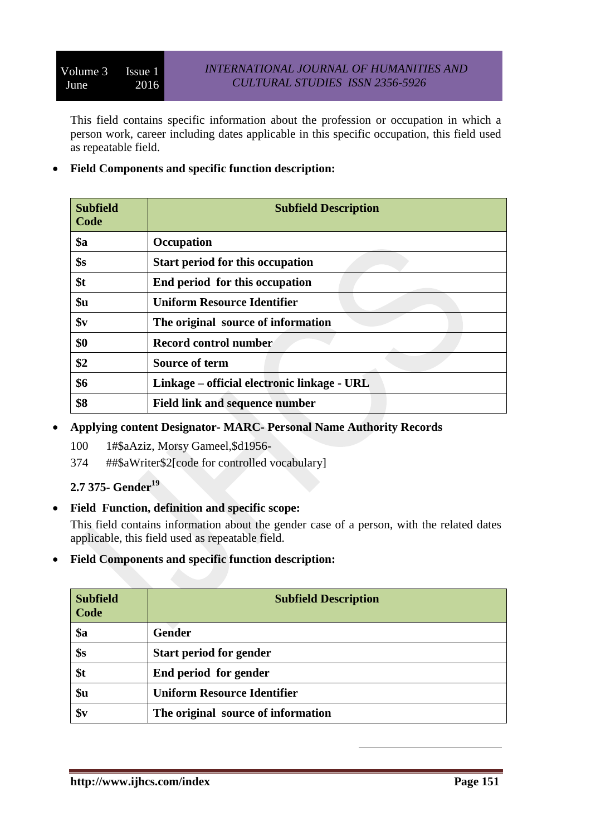This field contains specific information about the profession or occupation in which a person work, career including dates applicable in this specific occupation, this field used as repeatable field.

**Field Components and specific function description:**

| <b>Subfield</b><br>Code | <b>Subfield Description</b>                 |
|-------------------------|---------------------------------------------|
| <b>\$a</b>              | <b>Occupation</b>                           |
| \$s                     | <b>Start period for this occupation</b>     |
| \$t                     | End period for this occupation              |
| \$u                     | <b>Uniform Resource Identifier</b>          |
| $\mathbf{\$}\mathbf{v}$ | The original source of information          |
| \$0                     | <b>Record control number</b>                |
| \$2                     | <b>Source of term</b>                       |
| \$6                     | Linkage – official electronic linkage - URL |
| \$8                     | <b>Field link and sequence number</b>       |

- **Applying content Designator- MARC- Personal Name Authority Records**
	- 100 1#\$aAziz, Morsy Gameel,\$d1956-
	- 374 ##\$aWriter\$2[code for controlled vocabulary]

## **2.7 375- Gender<sup>19</sup>**

**Field Function, definition and specific scope:**

This field contains information about the gender case of a person, with the related dates applicable, this field used as repeatable field.

**Field Components and specific function description:**

| <b>Subfield</b><br>Code | <b>Subfield Description</b>        |
|-------------------------|------------------------------------|
| \$a                     | <b>Gender</b>                      |
| \$s                     | <b>Start period for gender</b>     |
| \$t                     | End period for gender              |
| \$u                     | <b>Uniform Resource Identifier</b> |
| \$v                     | The original source of information |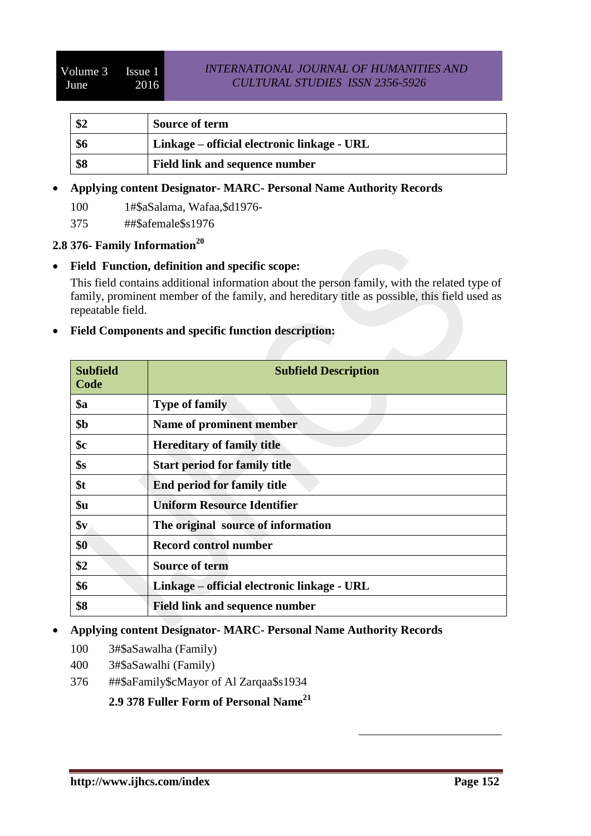| ա7⊿ | <b>Source of term</b>                       |
|-----|---------------------------------------------|
| \$6 | Linkage – official electronic linkage - URL |
| \$8 | Field link and sequence number              |

## **Applying content Designator- MARC- Personal Name Authority Records**

100 1#\$aSalama, Wafaa,\$d1976-

375 ##\$afemale\$s1976

# **2.8 376- Family Information<sup>20</sup>**

### **Field Function, definition and specific scope:**

This field contains additional information about the person family, with the related type of family, prominent member of the family, and hereditary title as possible, this field used as repeatable field.

### **Field Components and specific function description:**

| <b>Subfield</b><br>Code | <b>Subfield Description</b>                 |
|-------------------------|---------------------------------------------|
| $\$a$                   | <b>Type of family</b>                       |
| \$ <sub>b</sub>         | Name of prominent member                    |
| $\mathbf{\$c}$          | <b>Hereditary of family title</b>           |
| \$s                     | <b>Start period for family title</b>        |
| \$t                     | End period for family title                 |
| \$u                     | <b>Uniform Resource Identifier</b>          |
| \$ <sub>v</sub>         | The original source of information          |
| \$0                     | <b>Record control number</b>                |
| \$2                     | <b>Source of term</b>                       |
| \$6                     | Linkage – official electronic linkage - URL |
| \$8                     | <b>Field link and sequence number</b>       |

1

### **Applying content Designator- MARC- Personal Name Authority Records**

- 100 3#\$aSawalha (Family)
- 400 3#\$aSawalhi (Family)
- 376 ##\$aFamily\$cMayor of Al Zarqaa\$s1934

## **2.9 378 Fuller Form of Personal Name<sup>21</sup>**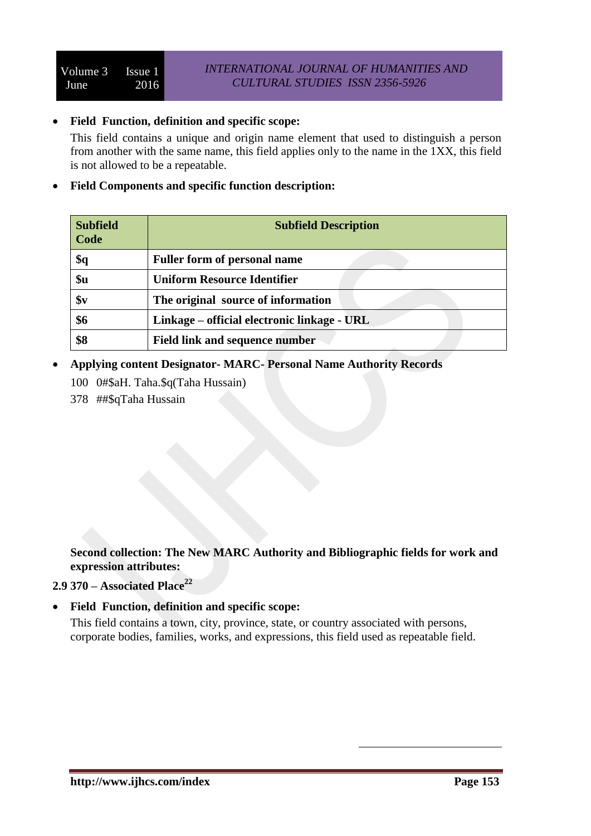#### **Field Function, definition and specific scope:**

This field contains a unique and origin name element that used to distinguish a person from another with the same name, this field applies only to the name in the 1XX, this field is not allowed to be a repeatable.

#### **Field Components and specific function description:**

| <b>Subfield</b><br>Code | <b>Subfield Description</b>                 |
|-------------------------|---------------------------------------------|
| \$q                     | <b>Fuller form of personal name</b>         |
| \$u                     | <b>Uniform Resource Identifier</b>          |
| $\mathbf{\$}\mathbf{v}$ | The original source of information          |
| \$6                     | Linkage – official electronic linkage - URL |
| \$8                     | <b>Field link and sequence number</b>       |

- **Applying content Designator- MARC- Personal Name Authority Records**
	- 100 0#\$aH. Taha.\$q(Taha Hussain)
	- 378 ##\$qTaha Hussain

**Second collection: The New MARC Authority and Bibliographic fields for work and expression attributes:**

# **2.9 370 – Associated Place<sup>22</sup>**

### **Field Function, definition and specific scope:**

This field contains a town, city, province, state, or country associated with persons, corporate bodies, families, works, and expressions, this field used as repeatable field.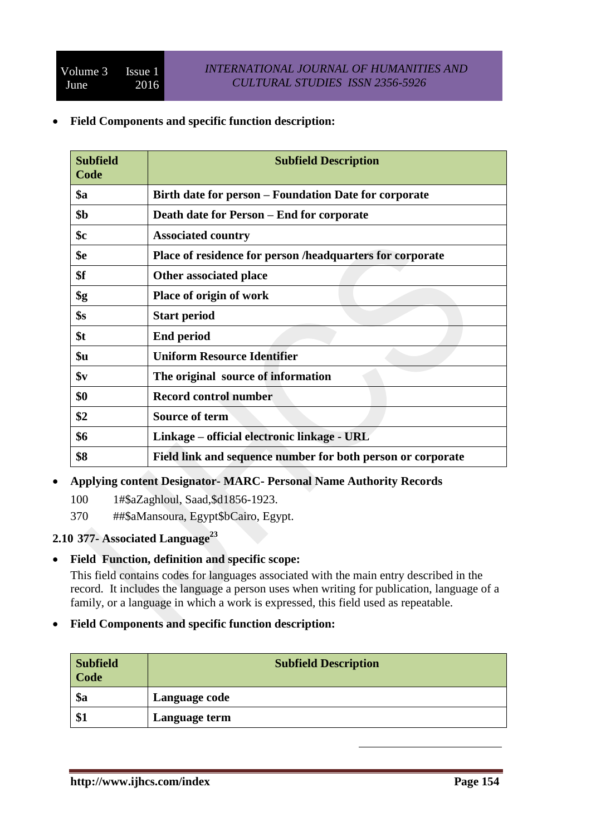**Field Components and specific function description:**

| <b>Subfield</b><br>Code | <b>Subfield Description</b>                                 |
|-------------------------|-------------------------------------------------------------|
| <b>\$a</b>              | Birth date for person – Foundation Date for corporate       |
| \$b                     | Death date for Person – End for corporate                   |
| \$с                     | <b>Associated country</b>                                   |
| \$e                     | Place of residence for person /headquarters for corporate   |
| \$f                     | Other associated place                                      |
| \$g                     | Place of origin of work                                     |
| \$s                     | <b>Start period</b>                                         |
| \$t                     | <b>End period</b>                                           |
| \$u                     | <b>Uniform Resource Identifier</b>                          |
| \$v                     | The original source of information                          |
| \$0                     | <b>Record control number</b>                                |
| \$2                     | <b>Source of term</b>                                       |
| \$6                     | Linkage – official electronic linkage - URL                 |
| \$8                     | Field link and sequence number for both person or corporate |

## **Applying content Designator- MARC- Personal Name Authority Records**

- 100 1#\$aZaghloul, Saad,\$d1856-1923.
- 370 ##\$aMansoura, Egypt\$bCairo, Egypt.

# **2.10 377- Associated Language<sup>23</sup>**

**Field Function, definition and specific scope:**

This field contains codes for languages associated with the main entry described in the record. It includes the language a person uses when writing for publication, language of a family, or a language in which a work is expressed, this field used as repeatable.

### **Field Components and specific function description:**

| <b>Subfield</b><br>  Code | <b>Subfield Description</b> |
|---------------------------|-----------------------------|
| $\$a$                     | Language code               |
| \$1                       | Language term               |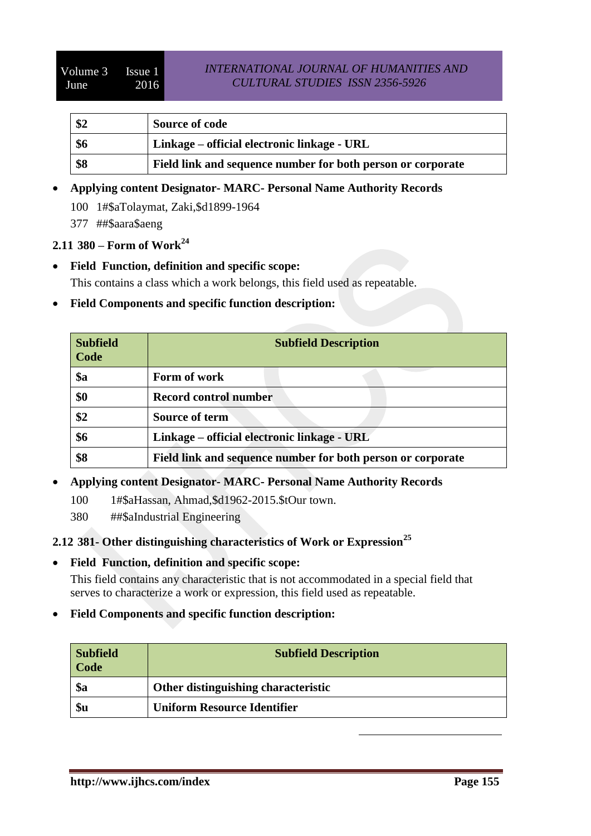| \$2 | <b>Source of code</b>                                       |
|-----|-------------------------------------------------------------|
| \$6 | Linkage – official electronic linkage - URL                 |
| \$8 | Field link and sequence number for both person or corporate |

## **Applying content Designator- MARC- Personal Name Authority Records**

100 1#\$aTolaymat, Zaki,\$d1899-1964

377 ##\$aara\$aeng

## **2.11 380 – Form of Work<sup>24</sup>**

- **Field Function, definition and specific scope:** This contains a class which a work belongs, this field used as repeatable.
- **Field Components and specific function description:**

| <b>Subfield</b><br>Code | <b>Subfield Description</b>                                 |  |
|-------------------------|-------------------------------------------------------------|--|
| $\$a$                   | Form of work                                                |  |
| \$0                     | <b>Record control number</b>                                |  |
| \$2                     | Source of term                                              |  |
| \$6                     | Linkage – official electronic linkage - URL                 |  |
| \$8                     | Field link and sequence number for both person or corporate |  |

### **Applying content Designator- MARC- Personal Name Authority Records**

- 100 1#\$aHassan, Ahmad,\$d1962-2015.\$tOur town.
- 380 ##\$aIndustrial Engineering
- **2.12 381- Other distinguishing characteristics of Work or Expression<sup>25</sup>**
- **Field Function, definition and specific scope:**

This field contains any characteristic that is not accommodated in a special field that serves to characterize a work or expression, this field used as repeatable.

**Field Components and specific function description:**

| <b>Subfield</b><br><b>Code</b> | <b>Subfield Description</b>         |
|--------------------------------|-------------------------------------|
| \$a                            | Other distinguishing characteristic |
| \$u                            | <b>Uniform Resource Identifier</b>  |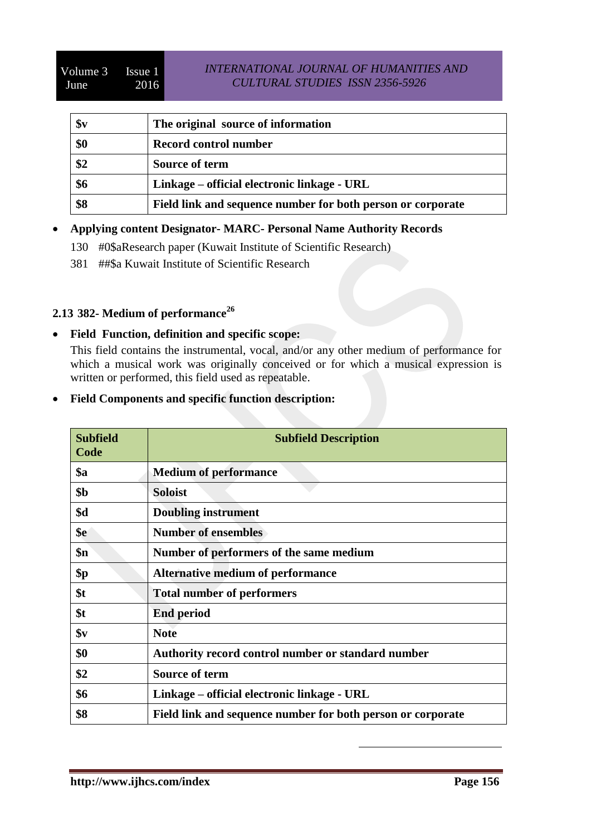### *INTERNATIONAL JOURNAL OF HUMANITIES AND CULTURAL STUDIES ISSN 2356-5926*

| $\mathbf{S}\mathbf{v}$ | The original source of information                          |
|------------------------|-------------------------------------------------------------|
| \$0                    | Record control number                                       |
| \$2                    | Source of term                                              |
| \$6                    | Linkage – official electronic linkage - URL                 |
| \$8                    | Field link and sequence number for both person or corporate |

### **Applying content Designator- MARC- Personal Name Authority Records**

- 130 #0\$aResearch paper (Kuwait Institute of Scientific Research)
- 381 ##\$a Kuwait Institute of Scientific Research

# **2.13 382- Medium of performance<sup>26</sup>**

**Field Function, definition and specific scope:**

This field contains the instrumental, vocal, and/or any other medium of performance for which a musical work was originally conceived or for which a musical expression is written or performed, this field used as repeatable.

**Field Components and specific function description:**

| <b>Subfield</b><br>Code | <b>Subfield Description</b>                                 |  |
|-------------------------|-------------------------------------------------------------|--|
| \$a                     | <b>Medium of performance</b>                                |  |
| \$b                     | <b>Soloist</b>                                              |  |
| \$d                     | <b>Doubling instrument</b>                                  |  |
| \$e                     | <b>Number of ensembles</b>                                  |  |
| \$n                     | Number of performers of the same medium                     |  |
| \$p                     | <b>Alternative medium of performance</b>                    |  |
| \$t                     | <b>Total number of performers</b>                           |  |
| \$t                     | <b>End period</b>                                           |  |
| $\mathbf{\$}\mathbf{v}$ | <b>Note</b>                                                 |  |
| \$0                     | Authority record control number or standard number          |  |
| \$2                     | <b>Source of term</b>                                       |  |
| \$6                     | Linkage – official electronic linkage - URL                 |  |
| \$8                     | Field link and sequence number for both person or corporate |  |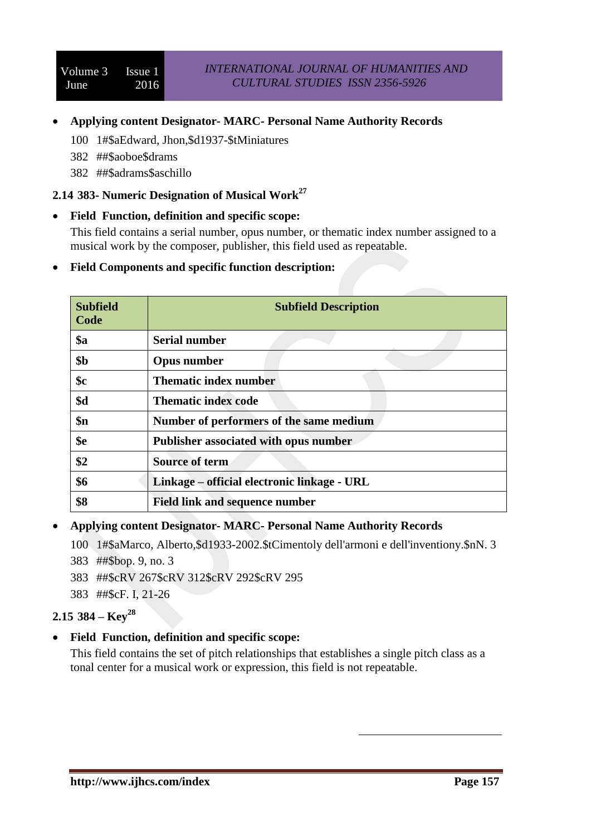### **Applying content Designator- MARC- Personal Name Authority Records**

- 100 1#\$aEdward, Jhon,\$d1937-\$tMiniatures
- 382 ##\$aoboe\$drams
- 382 ##\$adrams\$aschillo

# **2.14 383- Numeric Designation of Musical Work<sup>27</sup>**

**Field Function, definition and specific scope:**

This field contains a serial number, opus number, or thematic index number assigned to a musical work by the composer, publisher, this field used as repeatable.

#### **Field Components and specific function description:**

| <b>Subfield</b><br>Code | <b>Subfield Description</b>                 |  |
|-------------------------|---------------------------------------------|--|
| <b>\$a</b>              | <b>Serial number</b>                        |  |
| \$ <sub>b</sub>         | <b>Opus number</b>                          |  |
| \$с                     | <b>Thematic index number</b>                |  |
| \$d                     | <b>Thematic index code</b>                  |  |
| $\mathbf{\$n}$          | Number of performers of the same medium     |  |
| \$e                     | Publisher associated with opus number       |  |
| \$2                     | Source of term                              |  |
| \$6                     | Linkage – official electronic linkage - URL |  |
| \$8                     | <b>Field link and sequence number</b>       |  |

#### **Applying content Designator- MARC- Personal Name Authority Records**

- 100 1#\$aMarco, Alberto,\$d1933-2002.\$tCimentoly dell'armoni e dell'inventiony.\$nN. 3
- 383 ##\$bop. 9, no. 3
- 383 ##\$cRV 267\$cRV 312\$cRV 292\$cRV 295
- 383 ##\$cF. I, 21-26

# **2.15 384 – Key<sup>28</sup>**

### **Field Function, definition and specific scope:**

This field contains the set of pitch relationships that establishes a single pitch class as a tonal center for a musical work or expression, this field is not repeatable.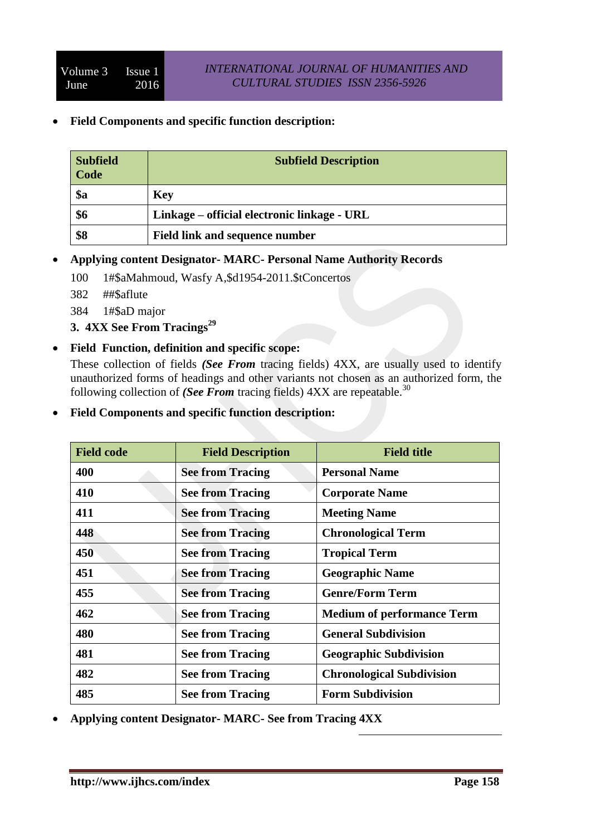**Field Components and specific function description:**

| <b>Subfield</b><br>Code | <b>Subfield Description</b>                 |  |
|-------------------------|---------------------------------------------|--|
| \$a                     | Key                                         |  |
| \$6                     | Linkage – official electronic linkage - URL |  |
| \$8                     | <b>Field link and sequence number</b>       |  |

- **Applying content Designator- MARC- Personal Name Authority Records**
	- 100 1#\$aMahmoud, Wasfy A,\$d1954-2011.\$tConcertos
	- 382 ##\$aflute
	- 384 1#\$aD major
	- **3. 4XX See From Tracings<sup>29</sup>**
- **Field Function, definition and specific scope:**

These collection of fields *(See From* tracing fields) 4XX, are usually used to identify unauthorized forms of headings and other variants not chosen as an authorized form, the following collection of *(See From tracing fields)* 4XX are repeatable.<sup>30</sup>

**Field Components and specific function description:**

| <b>Field code</b> | <b>Field Description</b> | <b>Field title</b>                |
|-------------------|--------------------------|-----------------------------------|
| 400               | <b>See from Tracing</b>  | <b>Personal Name</b>              |
| 410               | <b>See from Tracing</b>  | <b>Corporate Name</b>             |
| 411               | <b>See from Tracing</b>  | <b>Meeting Name</b>               |
| 448               | <b>See from Tracing</b>  | <b>Chronological Term</b>         |
| 450               | <b>See from Tracing</b>  | <b>Tropical Term</b>              |
| 451               | <b>See from Tracing</b>  | <b>Geographic Name</b>            |
| 455               | <b>See from Tracing</b>  | <b>Genre/Form Term</b>            |
| 462               | <b>See from Tracing</b>  | <b>Medium of performance Term</b> |
| 480               | <b>See from Tracing</b>  | <b>General Subdivision</b>        |
| 481               | <b>See from Tracing</b>  | <b>Geographic Subdivision</b>     |
| 482               | <b>See from Tracing</b>  | <b>Chronological Subdivision</b>  |
| 485               | <b>See from Tracing</b>  | <b>Form Subdivision</b>           |

1

**Applying content Designator- MARC- See from Tracing 4XX**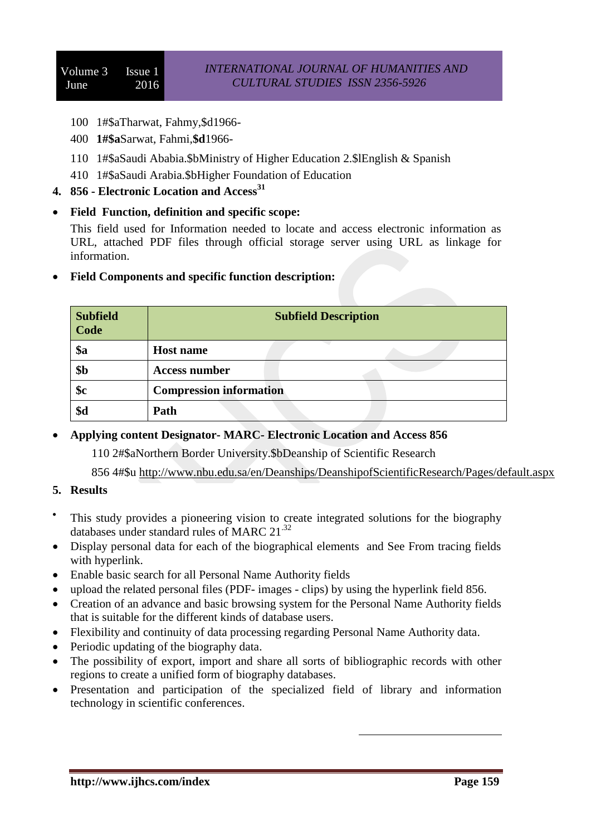- 100 1#\$aTharwat, Fahmy,\$d1966-
- 400 **1#\$a**Sarwat, Fahmi,**\$d**1966-
- 110 1#\$aSaudi Ababia.\$bMinistry of Higher Education 2.\$lEnglish & Spanish
- 410 1#\$aSaudi Arabia.\$bHigher Foundation of Education
- **4. 856 - Electronic Location and Access<sup>31</sup>**
- **Field Function, definition and specific scope:**

This field used for Information needed to locate and access electronic information as URL, attached PDF files through official storage server using URL as linkage for information.

| <b>Subfield</b><br>Code | <b>Subfield Description</b>    |  |
|-------------------------|--------------------------------|--|
| \$a                     | <b>Host name</b>               |  |
| \$b                     | <b>Access number</b>           |  |
| \$c                     | <b>Compression information</b> |  |
| \$d                     | Path                           |  |

**Field Components and specific function description:**

**Applying content Designator- MARC- Electronic Location and Access 856** 

110 2#\$aNorthern Border University.\$bDeanship of Scientific Research

856 4#\$u <http://www.nbu.edu.sa/en/Deanships/DeanshipofScientificResearch/Pages/default.aspx>

- **5. Results**
- $\bullet$ This study provides a pioneering vision to create integrated solutions for the biography databases under standard rules of MARC  $21^{32}$
- Display personal data for each of the biographical elements and See From tracing fields with hyperlink.
- Enable basic search for all Personal Name Authority fields
- upload the related personal files (PDF- images clips) by using the hyperlink field 856.
- Creation of an advance and basic browsing system for the Personal Name Authority fields that is suitable for the different kinds of database users.
- Flexibility and continuity of data processing regarding Personal Name Authority data.
- Periodic updating of the biography data.
- The possibility of export, import and share all sorts of bibliographic records with other regions to create a unified form of biography databases.
- Presentation and participation of the specialized field of library and information technology in scientific conferences.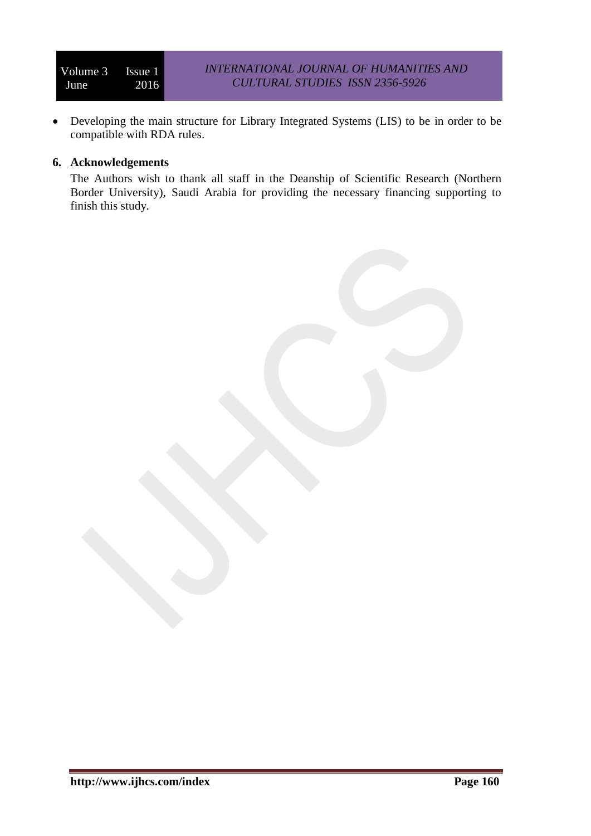Developing the main structure for Library Integrated Systems (LIS) to be in order to be compatible with RDA rules.

### **6. Acknowledgements**

The Authors wish to thank all staff in the Deanship of Scientific Research (Northern Border University), Saudi Arabia for providing the necessary financing supporting to finish this study.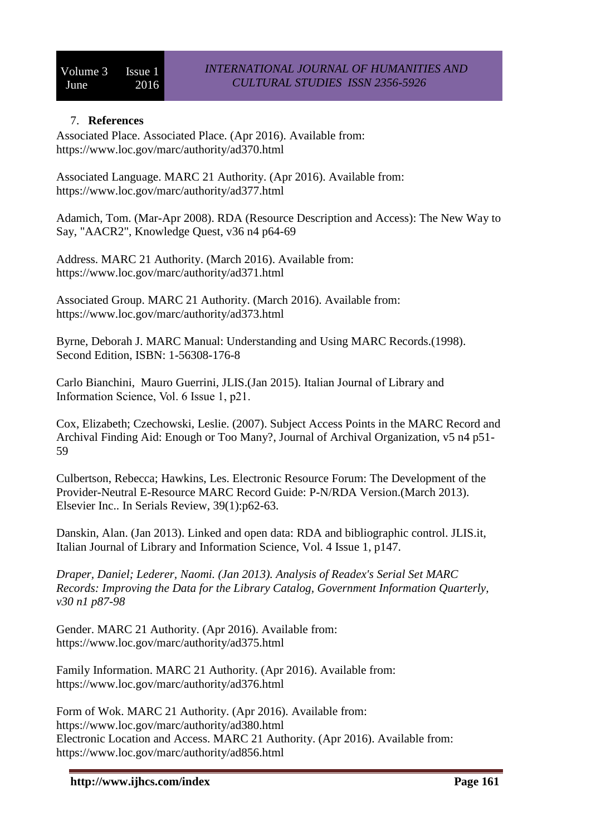#### 7. **References**

Associated Place. Associated Place. (Apr 2016). Available from: <https://www.loc.gov/marc/authority/ad370.html>

Associated Language. MARC 21 Authority. (Apr 2016). Available from: <https://www.loc.gov/marc/authority/ad377.html>

Adamich, Tom. (Mar-Apr 2008). RDA (Resource Description and Access): The New Way to Say, "AACR2", Knowledge Quest, v36 n4 p64-69

Address. MARC 21 Authority. (March 2016). Available from: <https://www.loc.gov/marc/authority/ad371.html>

Associated Group. MARC 21 Authority. (March 2016). Available from: <https://www.loc.gov/marc/authority/ad373.html>

Byrne, Deborah J. MARC Manual: Understanding and Using MARC Records.(1998). Second Edition, ISBN: 1-56308-176-8

Carlo Bianchini, [Mauro](javascript:__doLinkPostBack() Guerrini, JLIS.(Jan 2015). Information Science, Vol. 6 Issue 1, p21.

Cox, Elizabeth; Czechowski, Leslie. (2007). Subject Access Points in the MARC Record and Archival Finding Aid: Enough or Too Many?, Journal of Archival Organization, v5 n4 p51- 59

[Culbertson, Rebecca;](javascript:__doLinkPostBack() [Hawkins, Les.](javascript:__doLinkPostBack() Electronic Resource Forum: The Development of the Provider-Neutral E-Resource MARC Record Guide: P-N/RDA Version.(March 2013). Elsevier Inc.. In [Serials Review,](javascript:__doLinkPostBack() 39(1):p62-63.

[Danskin, Alan.](javascript:__doLinkPostBack() (Jan 2013). Linked and open data: RDA and bibliographic control. JLIS.it, Italian Journal of Library and Information Science, Vol. 4 Issue 1, p147.

*Draper, Daniel; Lederer, Naomi. (Jan 2013). Analysis of Readex's Serial Set MARC Records: Improving the Data for the Library Catalog, Government Information Quarterly, v30 n1 p87-98*

Gender. MARC 21 Authority. (Apr 2016). Available from: <https://www.loc.gov/marc/authority/ad375.html>

Family Information. MARC 21 Authority. (Apr 2016). Available from: <https://www.loc.gov/marc/authority/ad376.html>

Form of Wok. MARC 21 Authority. (Apr 2016). Available from: <https://www.loc.gov/marc/authority/ad380.html> Electronic Location and Access. MARC 21 Authority. (Apr 2016). Available from: <https://www.loc.gov/marc/authority/ad856.html>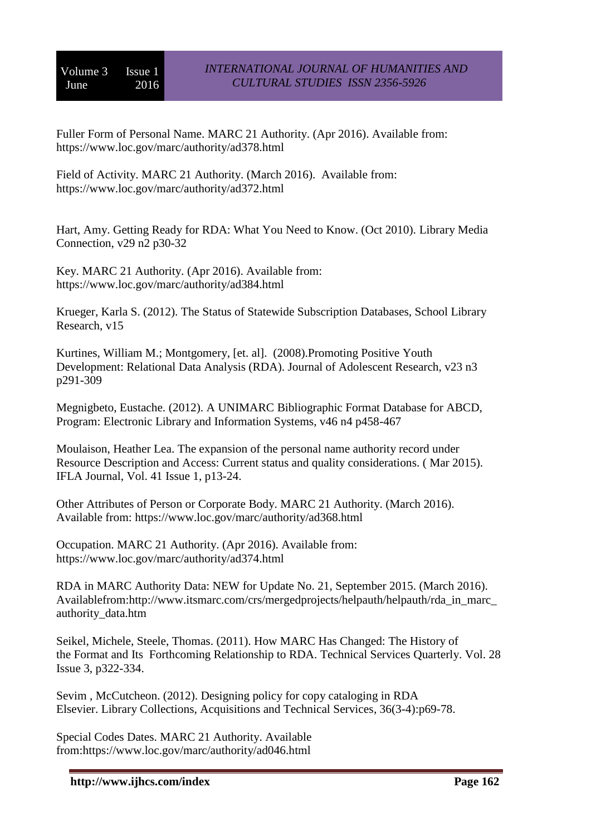Fuller Form of Personal Name. MARC 21 Authority. (Apr 2016). Available from: <https://www.loc.gov/marc/authority/ad378.html>

Field of Activity. MARC 21 Authority. (March 2016). Available from: <https://www.loc.gov/marc/authority/ad372.html>

Hart, Amy. Getting Ready for RDA: What You Need to Know. (Oct 2010). Library Media Connection, v29 n2 p30-32

Key. MARC 21 Authority. (Apr 2016). Available from: <https://www.loc.gov/marc/authority/ad384.html>

Krueger, Karla S. (2012). The Status of Statewide Subscription Databases, School Library Research, v15

Kurtines, William M.; Montgomery, [et. al]. (2008).Promoting Positive Youth Development: Relational Data Analysis (RDA). Journal of Adolescent Research, v23 n3 p291-309

Megnigbeto, Eustache. (2012). A UNIMARC Bibliographic Format Database for ABCD, Program: Electronic Library and Information Systems, v46 n4 p458-467

[Moulaison, Heather Lea.](javascript:__doLinkPostBack() The expansion of the personal name authority record under Resource Description and Access: Current status and quality considerations. ( Mar 2015). [IFLA Journal,](javascript:__doLinkPostBack() Vol. 41 Issue 1, p13-24.

Other Attributes of Person or Corporate Body. MARC 21 Authority. (March 2016). Available from:<https://www.loc.gov/marc/authority/ad368.html>

Occupation. MARC 21 Authority. (Apr 2016). Available from: <https://www.loc.gov/marc/authority/ad374.html>

RDA in MARC Authority Data: NEW for [Update No. 21,](http://www.itsmarc.com/crs/mergedprojects/helpauth/helpauth/appendix_f_format_changes_update_no._21_september_2015.htm) September 2015. (March 2016). Availablefrom[:http://www.itsmarc.com/crs/mergedprojects/helpauth/helpauth/rda\\_in\\_marc\\_](http://www.itsmarc.com/crs/mergedprojects/helpauth/helpauth/rda_in_marc_authority_data.htm) [authority\\_data.htm](http://www.itsmarc.com/crs/mergedprojects/helpauth/helpauth/rda_in_marc_authority_data.htm)

[Seikel, Michele,](javascript:__doLinkPostBack() [Steele, Thomas.](javascript:__doLinkPostBack() (2011). How MARC Has Changed: The History of the Format and Its Forthcoming Relationship to RDA. [Technical Services Quarterly.](javascript:__doLinkPostBack() Vol. 28 Issue 3, p322-334.

[Sevim](javascript:__doLinkPostBack() , McCutcheon. (2012). Designing policy for copy cataloging in RDA Elsevier. [Library Collections, Acquisitions and Technical Services,](javascript:__doLinkPostBack() 36(3-4):p69-78.

Special Codes Dates. MARC 21 Authority. Available from[:https://www.loc.gov/marc/authority/ad046.html](https://www.loc.gov/marc/authority/ad046.html)